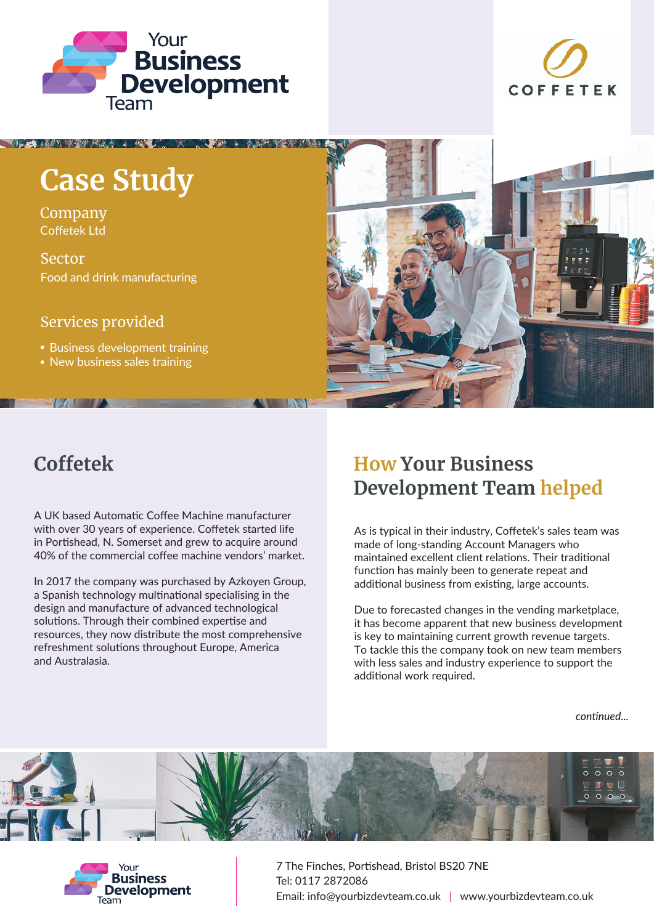



# **Case Study**

Company Coffetek Ltd

Sector Food and drink manufacturing

### Services provided

• Business development training

• New business sales training



## **Coffetek**

**TO AN INSTALLATION** 

A UK based Automatic Coffee Machine manufacturer with over 30 years of experience. Coffetek started life in Portishead, N. Somerset and grew to acquire around 40% of the commercial coffee machine vendors' market.

In 2017 the company was purchased by Azkoyen Group, a Spanish technology multinational specialising in the design and manufacture of advanced technological solutions. Through their combined expertise and resources, they now distribute the most comprehensive refreshment solutions throughout Europe, America and Australasia.

### **How Your Business Development Team helped**

As is typical in their industry, Coffetek's sales team was made of long-standing Account Managers who maintained excellent client relations. Their traditional function has mainly been to generate repeat and additional business from existing, large accounts.

Due to forecasted changes in the vending marketplace, it has become apparent that new business development is key to maintaining current growth revenue targets. To tackle this the company took on new team members with less sales and industry experience to support the additional work required.

continued...





7 The Finches, Portishead, Bristol BS20 7NE Tel: 0117 2872086 Email: info@yourbizdevteam.co.uk | www.yourbizdevteam.co.uk